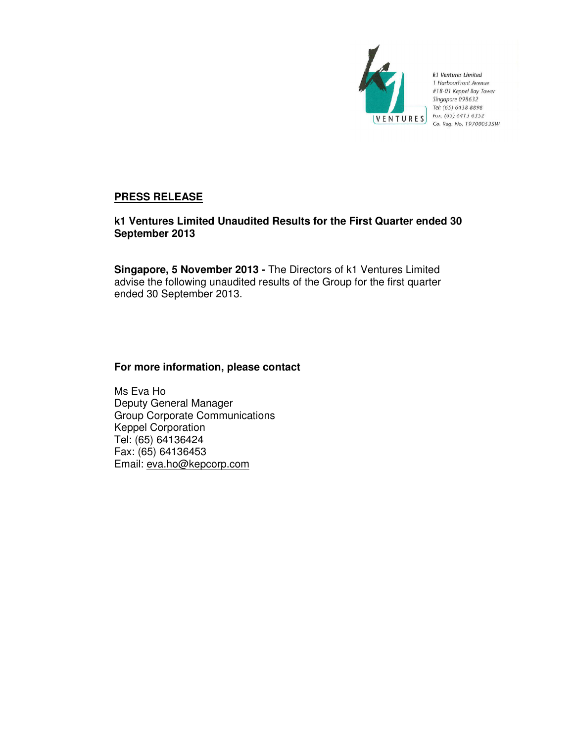

k1 Ventures Limited 1 HarbourFront Avenue #18-01 Keppel Bay Tower Singapore 098632 Tel: (65) 6438 8898 **VENTURES**  $\begin{array}{c} \n\text{r.} \text{ (65) 6438 6352} \\
\text{Fax: (65) 6413 6352} \\
\text{Co. } \text{Re}a. \text{ No. } 1970005\n\end{array}$ Co. Reg. No. 197000535W

# **PRESS RELEASE**

# **k1 Ventures Limited Unaudited Results for the First Quarter ended 30 September 2013**

**Singapore, 5 November 2013 -** The Directors of k1 Ventures Limited advise the following unaudited results of the Group for the first quarter ended 30 September 2013.

# **For more information, please contact**

Ms Eva Ho Deputy General Manager Group Corporate Communications Keppel Corporation Tel: (65) 64136424 Fax: (65) 64136453 Email: eva.ho@kepcorp.com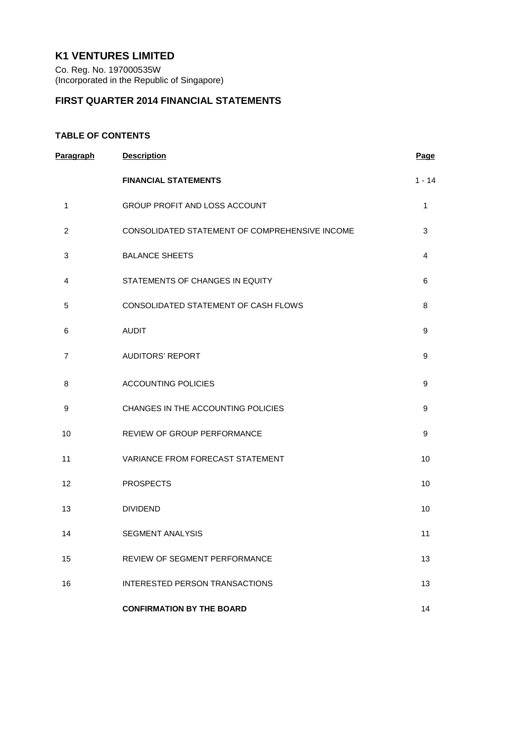# **K1 VENTURES LIMITED**

Co. Reg. No. 197000535W (Incorporated in the Republic of Singapore)

# **FIRST QUARTER 2014 FINANCIAL STATEMENTS**

# **TABLE OF CONTENTS**

| <b>Paragraph</b> | <b>Description</b>                             | <b>Page</b>      |
|------------------|------------------------------------------------|------------------|
|                  | <b>FINANCIAL STATEMENTS</b>                    | $1 - 14$         |
| 1                | GROUP PROFIT AND LOSS ACCOUNT                  | $\mathbf{1}$     |
| $\overline{c}$   | CONSOLIDATED STATEMENT OF COMPREHENSIVE INCOME | 3                |
| 3                | <b>BALANCE SHEETS</b>                          | 4                |
| 4                | STATEMENTS OF CHANGES IN EQUITY                | 6                |
| 5                | CONSOLIDATED STATEMENT OF CASH FLOWS           | 8                |
| 6                | <b>AUDIT</b>                                   | 9                |
| $\overline{7}$   | <b>AUDITORS' REPORT</b>                        | 9                |
| 8                | <b>ACCOUNTING POLICIES</b>                     | 9                |
| 9                | CHANGES IN THE ACCOUNTING POLICIES             | 9                |
| 10               | REVIEW OF GROUP PERFORMANCE                    | $\boldsymbol{9}$ |
| 11               | VARIANCE FROM FORECAST STATEMENT               | 10               |
| 12               | <b>PROSPECTS</b>                               | 10               |
| 13               | <b>DIVIDEND</b>                                | 10               |
| 14               | <b>SEGMENT ANALYSIS</b>                        | 11               |
| 15               | <b>REVIEW OF SEGMENT PERFORMANCE</b>           | 13               |
| 16               | <b>INTERESTED PERSON TRANSACTIONS</b>          | 13               |
|                  | <b>CONFIRMATION BY THE BOARD</b>               | 14               |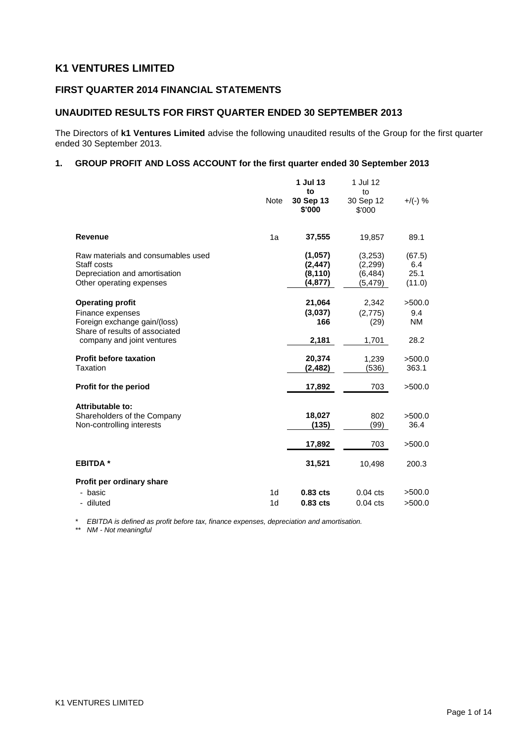# **K1 VENTURES LIMITED**

# **FIRST QUARTER 2014 FINANCIAL STATEMENTS**

# **UNAUDITED RESULTS FOR FIRST QUARTER ENDED 30 SEPTEMBER 2013**

The Directors of **k1 Ventures Limited** advise the following unaudited results of the Group for the first quarter ended 30 September 2013.

## **1. GROUP PROFIT AND LOSS ACCOUNT for the first quarter ended 30 September 2013**

|                                                                                                                | <b>Note</b>    | 1 Jul 13<br>to<br>30 Sep 13<br>\$'000       | 1 Jul 12<br>to<br>30 Sep 12<br>\$'000       | $+$ /(-) %                      |
|----------------------------------------------------------------------------------------------------------------|----------------|---------------------------------------------|---------------------------------------------|---------------------------------|
| <b>Revenue</b>                                                                                                 | 1a             | 37,555                                      | 19,857                                      | 89.1                            |
| Raw materials and consumables used<br>Staff costs<br>Depreciation and amortisation<br>Other operating expenses |                | (1,057)<br>(2, 447)<br>(8, 110)<br>(4, 877) | (3,253)<br>(2, 299)<br>(6, 484)<br>(5, 479) | (67.5)<br>6.4<br>25.1<br>(11.0) |
| <b>Operating profit</b><br>Finance expenses<br>Foreign exchange gain/(loss)<br>Share of results of associated  |                | 21,064<br>(3,037)<br>166                    | 2,342<br>(2,775)<br>(29)                    | >500.0<br>9.4<br>NM.            |
| company and joint ventures                                                                                     |                | 2,181                                       | 1,701                                       | 28.2                            |
| <b>Profit before taxation</b><br>Taxation                                                                      |                | 20,374<br>(2,482)                           | 1,239<br>(536)                              | >500.0<br>363.1                 |
| Profit for the period                                                                                          |                | 17,892                                      | 703                                         | >500.0                          |
| Attributable to:<br>Shareholders of the Company<br>Non-controlling interests                                   |                | 18,027<br>(135)                             | 802<br>(99)                                 | >500.0<br>36.4                  |
|                                                                                                                |                | 17,892                                      | 703                                         | >500.0                          |
| <b>EBITDA*</b>                                                                                                 |                | 31,521                                      | 10,498                                      | 200.3                           |
| Profit per ordinary share                                                                                      |                |                                             |                                             |                                 |
| - basic                                                                                                        | 1 <sub>d</sub> | 0.83 cts                                    | $0.04$ cts                                  | >500.0                          |
| - diluted                                                                                                      | 1 <sub>d</sub> | 0.83 cts                                    | $0.04$ cts                                  | >500.0                          |

*\* EBITDA is defined as profit before tax, finance expenses, depreciation and amortisation.*

*\*\* NM - Not meaningful*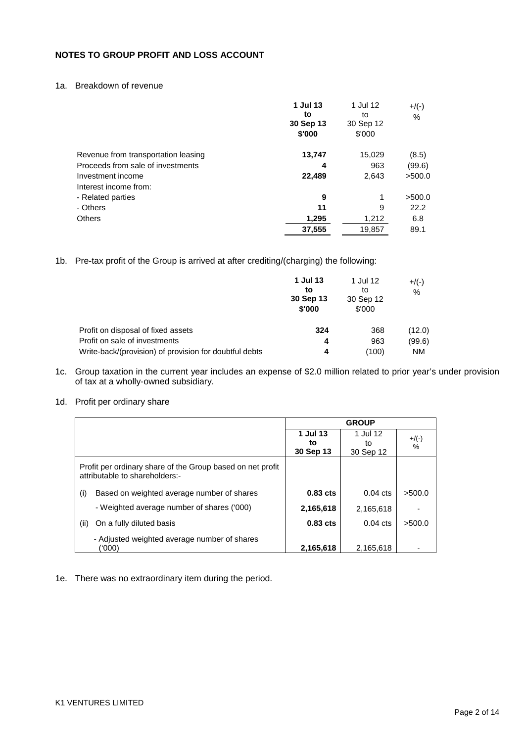# **NOTES TO GROUP PROFIT AND LOSS ACCOUNT**

## 1a. Breakdown of revenue

|                                     | 1 Jul 13<br>to<br>30 Sep 13<br>\$'000 | 1 Jul 12<br>to<br>30 Sep 12<br>\$'000 | $+$ /(-)<br>% |
|-------------------------------------|---------------------------------------|---------------------------------------|---------------|
| Revenue from transportation leasing | 13,747                                | 15,029                                | (8.5)         |
| Proceeds from sale of investments   | 4                                     | 963                                   | (99.6)        |
| Investment income                   | 22,489                                | 2,643                                 | >500.0        |
| Interest income from:               |                                       |                                       |               |
| - Related parties                   | 9                                     | 1                                     | >500.0        |
| - Others                            | 11                                    | 9                                     | 22.2          |
| <b>Others</b>                       | 1,295                                 | 1,212                                 | 6.8           |
|                                     | 37,555                                | 19,857                                | 89.1          |

1b. Pre-tax profit of the Group is arrived at after crediting/(charging) the following:

|                                                        | 1 Jul 13<br>to<br>30 Sep 13<br>\$'000 | 1 Jul 12<br>to<br>30 Sep 12<br>\$'000 | $+/(-)$<br>$\%$ |
|--------------------------------------------------------|---------------------------------------|---------------------------------------|-----------------|
| Profit on disposal of fixed assets                     | 324                                   | 368                                   | (12.0)          |
| Profit on sale of investments                          | 4                                     | 963                                   | (99.6)          |
| Write-back/(provision) of provision for doubtful debts | 4                                     | (100)                                 | <b>NM</b>       |

1c. Group taxation in the current year includes an expense of \$2.0 million related to prior year's under provision of tax at a wholly-owned subsidiary.

## 1d. Profit per ordinary share

|                                                                                              |            | <b>GROUP</b>       |               |
|----------------------------------------------------------------------------------------------|------------|--------------------|---------------|
|                                                                                              | 1 Jul 13   | 1 Jul 12           |               |
|                                                                                              | to         | to                 | $+$ /(-)<br>% |
|                                                                                              | 30 Sep 13  | 30 Sep 12          |               |
| Profit per ordinary share of the Group based on net profit<br>attributable to shareholders:- |            |                    |               |
| Based on weighted average number of shares<br>(i)                                            | $0.83$ cts | $0.04 \text{ cts}$ | >500.0        |
| - Weighted average number of shares ('000)                                                   | 2,165,618  | 2,165,618          |               |
| (ii)<br>On a fully diluted basis                                                             | $0.83$ cts | $0.04$ cts         | >500.0        |
| - Adjusted weighted average number of shares<br>(000)                                        | 2,165,618  | 2.165.618          |               |

1e. There was no extraordinary item during the period.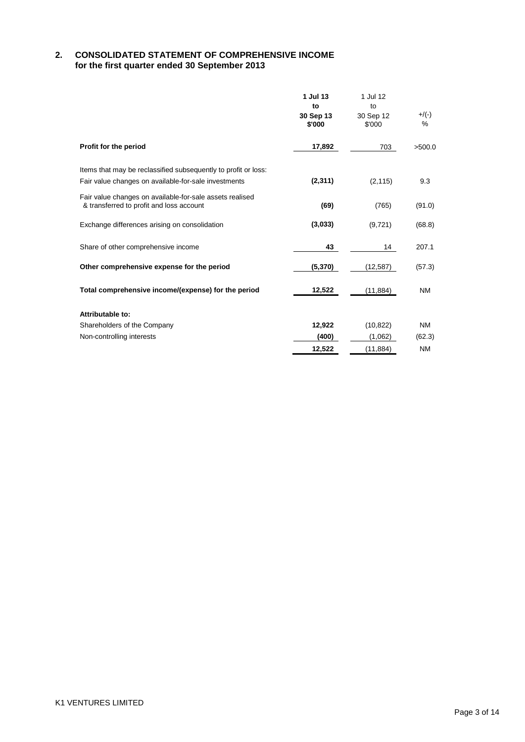## **2. CONSOLIDATED STATEMENT OF COMPREHENSIVE INCOME for the first quarter ended 30 September 2013**

|                                                                                                                        | 1 Jul 13<br>to<br>30 Sep 13<br>\$'000 | 1 Jul 12<br>to<br>30 Sep 12<br>\$'000 | $+/(-)$<br>$\%$ |
|------------------------------------------------------------------------------------------------------------------------|---------------------------------------|---------------------------------------|-----------------|
| Profit for the period                                                                                                  | 17,892                                | 703                                   | >500.0          |
| Items that may be reclassified subsequently to profit or loss:<br>Fair value changes on available-for-sale investments | (2, 311)                              | (2, 115)                              | 9.3             |
| Fair value changes on available-for-sale assets realised<br>& transferred to profit and loss account                   | (69)                                  | (765)                                 | (91.0)          |
| Exchange differences arising on consolidation                                                                          | (3,033)                               | (9, 721)                              | (68.8)          |
| Share of other comprehensive income                                                                                    | 43                                    | 14                                    | 207.1           |
| Other comprehensive expense for the period                                                                             | (5, 370)                              | (12, 587)                             | (57.3)          |
| Total comprehensive income/(expense) for the period                                                                    | 12,522                                | (11, 884)                             | <b>NM</b>       |
| Attributable to:                                                                                                       |                                       |                                       |                 |
| Shareholders of the Company                                                                                            | 12,922                                | (10, 822)                             | NM              |
| Non-controlling interests                                                                                              | (400)                                 | (1,062)                               | (62.3)          |
|                                                                                                                        | 12,522                                | (11, 884)                             | ΝM              |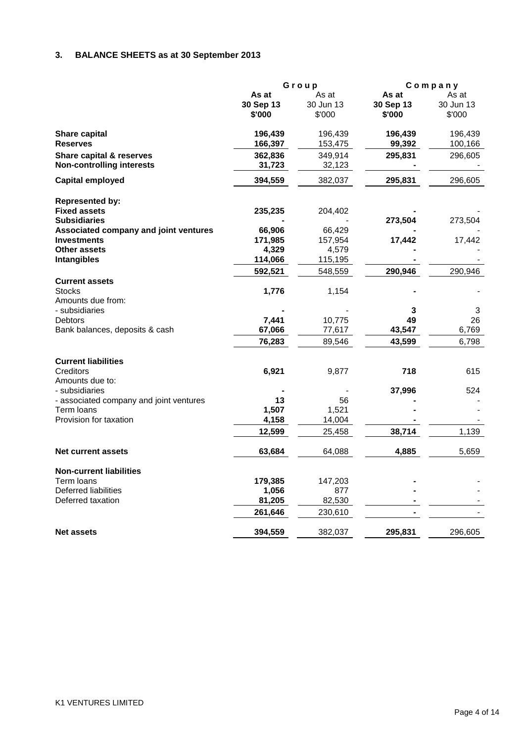# **3. BALANCE SHEETS as at 30 September 2013**

|                                         |           | Group     |           | Company   |
|-----------------------------------------|-----------|-----------|-----------|-----------|
|                                         | As at     | As at     | As at     | As at     |
|                                         | 30 Sep 13 | 30 Jun 13 | 30 Sep 13 | 30 Jun 13 |
|                                         | \$'000    | \$'000    | \$'000    | \$'000    |
| <b>Share capital</b>                    | 196,439   | 196,439   | 196,439   | 196,439   |
| <b>Reserves</b>                         | 166,397   | 153,475   | 99,392    | 100,166   |
| Share capital & reserves                | 362,836   | 349,914   | 295,831   | 296,605   |
| <b>Non-controlling interests</b>        | 31,723    | 32,123    |           |           |
| Capital employed                        | 394,559   | 382,037   | 295,831   | 296,605   |
| <b>Represented by:</b>                  |           |           |           |           |
| <b>Fixed assets</b>                     | 235,235   | 204,402   |           |           |
| <b>Subsidiaries</b>                     |           |           | 273,504   | 273,504   |
| Associated company and joint ventures   | 66,906    | 66,429    |           |           |
| <b>Investments</b>                      | 171,985   | 157,954   | 17,442    | 17,442    |
| <b>Other assets</b>                     | 4,329     | 4,579     |           |           |
| Intangibles                             | 114,066   | 115,195   |           |           |
|                                         | 592,521   | 548,559   | 290,946   | 290,946   |
| <b>Current assets</b>                   |           |           |           |           |
| <b>Stocks</b>                           | 1,776     | 1,154     |           |           |
| Amounts due from:                       |           |           |           |           |
| - subsidiaries                          |           |           | 3         | 3         |
| <b>Debtors</b>                          | 7,441     | 10,775    | 49        | 26        |
| Bank balances, deposits & cash          | 67,066    | 77,617    | 43,547    | 6,769     |
|                                         | 76,283    | 89,546    | 43,599    | 6,798     |
| <b>Current liabilities</b>              |           |           |           |           |
| Creditors                               | 6,921     | 9,877     | 718       | 615       |
| Amounts due to:                         |           |           |           |           |
| - subsidiaries                          |           |           | 37,996    | 524       |
| - associated company and joint ventures | 13        | 56        |           |           |
| Term loans                              | 1,507     | 1,521     |           |           |
| Provision for taxation                  | 4,158     | 14,004    |           |           |
|                                         | 12,599    | 25,458    | 38,714    | 1,139     |
| <b>Net current assets</b>               | 63,684    | 64,088    | 4,885     | 5,659     |
| <b>Non-current liabilities</b>          |           |           |           |           |
| Term loans                              | 179,385   | 147,203   |           |           |
| Deferred liabilities                    | 1,056     | 877       |           |           |
| Deferred taxation                       | 81,205    | 82,530    |           |           |
|                                         | 261,646   | 230,610   |           |           |
| <b>Net assets</b>                       | 394,559   | 382,037   | 295,831   | 296,605   |
|                                         |           |           |           |           |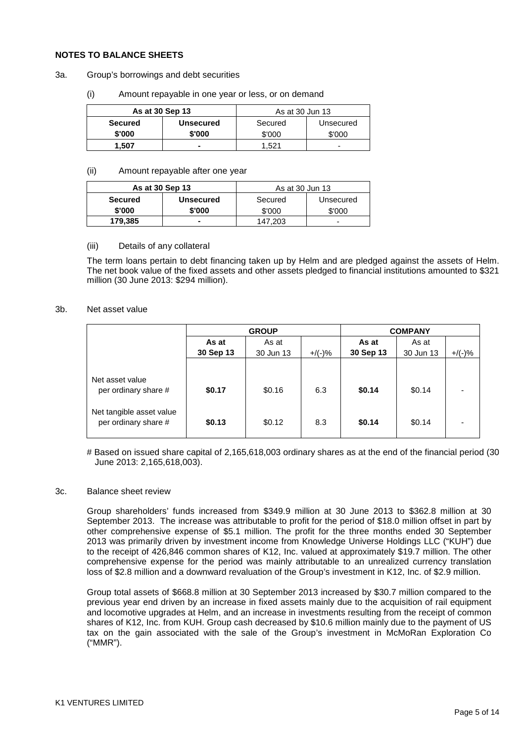#### **NOTES TO BALANCE SHEETS**

- 3a. Group's borrowings and debt securities
	- (i) Amount repayable in one year or less, or on demand

| As at 30 Sep 13 |                  | As at 30 Jun 13 |           |
|-----------------|------------------|-----------------|-----------|
| <b>Secured</b>  | <b>Unsecured</b> | Secured         | Unsecured |
| \$'000          | \$'000           | \$'000          | \$'000    |
| 1.507           |                  | .521            | -         |

#### (ii) Amount repayable after one year

| As at 30 Sep 13 |                  | As at 30 Jun 13      |        |  |
|-----------------|------------------|----------------------|--------|--|
| <b>Secured</b>  | <b>Unsecured</b> | Secured<br>Unsecured |        |  |
| \$'000          | \$'000           | \$'000               | \$'000 |  |
| 179.385         |                  | 147.203              |        |  |

#### (iii) Details of any collateral

The term loans pertain to debt financing taken up by Helm and are pledged against the assets of Helm. The net book value of the fixed assets and other assets pledged to financial institutions amounted to \$321 million (30 June 2013: \$294 million).

#### 3b. Net asset value

|                                                  | <b>GROUP</b>                                          |        |                    |                    | <b>COMPANY</b> |  |
|--------------------------------------------------|-------------------------------------------------------|--------|--------------------|--------------------|----------------|--|
|                                                  | As at<br>As at<br>30 Sep 13<br>$+$ /(-)%<br>30 Jun 13 |        | As at<br>30 Sep 13 | As at<br>30 Jun 13 | $+$ /(-)%      |  |
| Net asset value<br>per ordinary share #          | \$0.17                                                | \$0.16 | 6.3                | \$0.14             | \$0.14         |  |
| Net tangible asset value<br>per ordinary share # | \$0.13                                                | \$0.12 | 8.3                | \$0.14             | \$0.14         |  |

# Based on issued share capital of 2,165,618,003 ordinary shares as at the end of the financial period (30 June 2013: 2,165,618,003).

#### 3c. Balance sheet review

Group shareholders' funds increased from \$349.9 million at 30 June 2013 to \$362.8 million at 30 September 2013. The increase was attributable to profit for the period of \$18.0 million offset in part by other comprehensive expense of \$5.1 million. The profit for the three months ended 30 September 2013 was primarily driven by investment income from Knowledge Universe Holdings LLC ("KUH") due to the receipt of 426,846 common shares of K12, Inc. valued at approximately \$19.7 million. The other comprehensive expense for the period was mainly attributable to an unrealized currency translation loss of \$2.8 million and a downward revaluation of the Group's investment in K12, Inc. of \$2.9 million.

Group total assets of \$668.8 million at 30 September 2013 increased by \$30.7 million compared to the previous year end driven by an increase in fixed assets mainly due to the acquisition of rail equipment and locomotive upgrades at Helm, and an increase in investments resulting from the receipt of common shares of K12, Inc. from KUH. Group cash decreased by \$10.6 million mainly due to the payment of US tax on the gain associated with the sale of the Group's investment in McMoRan Exploration Co ("MMR").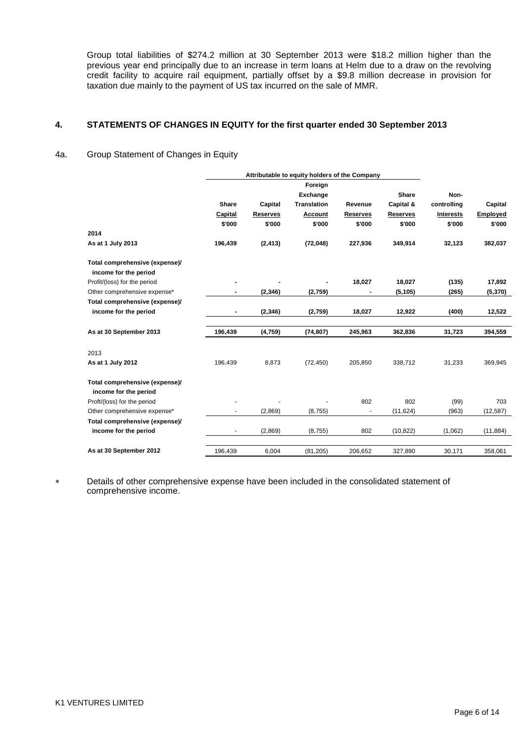Group total liabilities of \$274.2 million at 30 September 2013 were \$18.2 million higher than the previous year end principally due to an increase in term loans at Helm due to a draw on the revolving credit facility to acquire rail equipment, partially offset by a \$9.8 million decrease in provision for taxation due mainly to the payment of US tax incurred on the sale of MMR.

## **4. STATEMENTS OF CHANGES IN EQUITY for the first quarter ended 30 September 2013**

## 4a. Group Statement of Changes in Equity

|                                | Attributable to equity holders of the Company |                 |                    |                 |                 |                  |                 |
|--------------------------------|-----------------------------------------------|-----------------|--------------------|-----------------|-----------------|------------------|-----------------|
|                                |                                               |                 | Foreign            |                 |                 |                  |                 |
|                                |                                               |                 | Exchange           |                 | <b>Share</b>    | Non-             |                 |
|                                | <b>Share</b>                                  | Capital         | <b>Translation</b> | Revenue         | Capital &       | controlling      | Capital         |
|                                | Capital                                       | <b>Reserves</b> | Account            | <b>Reserves</b> | <b>Reserves</b> | <b>Interests</b> | <b>Employed</b> |
|                                | \$'000                                        | \$'000          | \$'000             | \$'000          | \$'000          | \$'000           | \$'000          |
| 2014                           |                                               |                 |                    |                 |                 |                  |                 |
| As at 1 July 2013              | 196,439                                       | (2, 413)        | (72,048)           | 227,936         | 349,914         | 32,123           | 382,037         |
| Total comprehensive (expense)/ |                                               |                 |                    |                 |                 |                  |                 |
| income for the period          |                                               |                 |                    |                 |                 |                  |                 |
| Profit/(loss) for the period   |                                               |                 |                    | 18,027          | 18,027          | (135)            | 17,892          |
| Other comprehensive expense*   | $\blacksquare$                                | (2, 346)        | (2,759)            |                 | (5, 105)        | (265)            | (5,370)         |
| Total comprehensive (expense)/ |                                               |                 |                    |                 |                 |                  |                 |
| income for the period          | $\overline{\phantom{a}}$                      | (2, 346)        | (2,759)            | 18,027          | 12,922          | (400)            | 12,522          |
| As at 30 September 2013        | 196,439                                       | (4,759)         | (74, 807)          | 245,963         | 362,836         | 31,723           | 394,559         |
| 2013                           |                                               |                 |                    |                 |                 |                  |                 |
| As at 1 July 2012              | 196,439                                       | 8,873           | (72, 450)          | 205,850         | 338,712         | 31,233           | 369,945         |
| Total comprehensive (expense)/ |                                               |                 |                    |                 |                 |                  |                 |
| income for the period          |                                               |                 |                    |                 |                 |                  |                 |
| Proft/(loss) for the period    |                                               |                 |                    | 802             | 802             | (99)             | 703             |
| Other comprehensive expense*   |                                               | (2,869)         | (8,755)            |                 | (11, 624)       | (963)            | (12, 587)       |
| Total comprehensive (expense)/ |                                               |                 |                    |                 |                 |                  |                 |
| income for the period          | $\overline{\phantom{a}}$                      | (2,869)         | (8,755)            | 802             | (10, 822)       | (1,062)          | (11, 884)       |
| As at 30 September 2012        | 196,439                                       | 6,004           | (81, 205)          | 206,652         | 327,890         | 30,171           | 358,061         |

∗ Details of other comprehensive expense have been included in the consolidated statement of comprehensive income.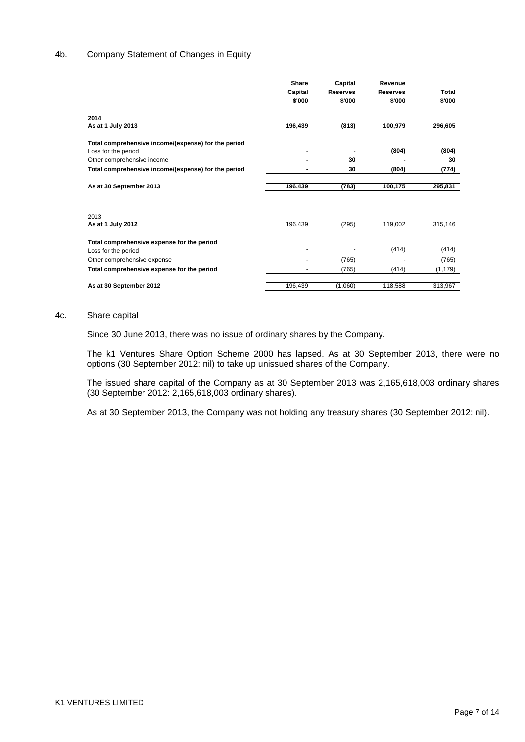## 4b. Company Statement of Changes in Equity

|                                                     | Share                    | Capital  | Revenue  |              |
|-----------------------------------------------------|--------------------------|----------|----------|--------------|
|                                                     | Capital                  | Reserves | Reserves | <b>Total</b> |
|                                                     | \$'000                   | \$'000   | \$'000   | \$'000       |
| 2014                                                |                          |          |          |              |
| As at 1 July 2013                                   | 196,439                  | (813)    | 100,979  | 296,605      |
| Total comprehensive income/(expense) for the period |                          |          |          |              |
| Loss for the period                                 |                          |          | (804)    | (804)        |
| Other comprehensive income                          |                          | 30       |          | 30           |
| Total comprehensive income/(expense) for the period | ۰                        | 30       | (804)    | (774)        |
| As at 30 September 2013                             | 196,439                  | (783)    | 100,175  | 295,831      |
|                                                     |                          |          |          |              |
|                                                     |                          |          |          |              |
| 2013<br>As at 1 July 2012                           | 196,439                  | (295)    | 119,002  | 315,146      |
|                                                     |                          |          |          |              |
| Total comprehensive expense for the period          |                          |          |          |              |
| Loss for the period                                 | ٠                        |          | (414)    | (414)        |
| Other comprehensive expense                         |                          | (765)    |          | (765)        |
| Total comprehensive expense for the period          | $\overline{\phantom{a}}$ | (765)    | (414)    | (1, 179)     |
|                                                     |                          |          |          |              |
| As at 30 September 2012                             | 196,439                  | (1,060)  | 118,588  | 313,967      |

### 4c. Share capital

Since 30 June 2013, there was no issue of ordinary shares by the Company.

The k1 Ventures Share Option Scheme 2000 has lapsed. As at 30 September 2013, there were no options (30 September 2012: nil) to take up unissued shares of the Company.

The issued share capital of the Company as at 30 September 2013 was 2,165,618,003 ordinary shares (30 September 2012: 2,165,618,003 ordinary shares).

As at 30 September 2013, the Company was not holding any treasury shares (30 September 2012: nil).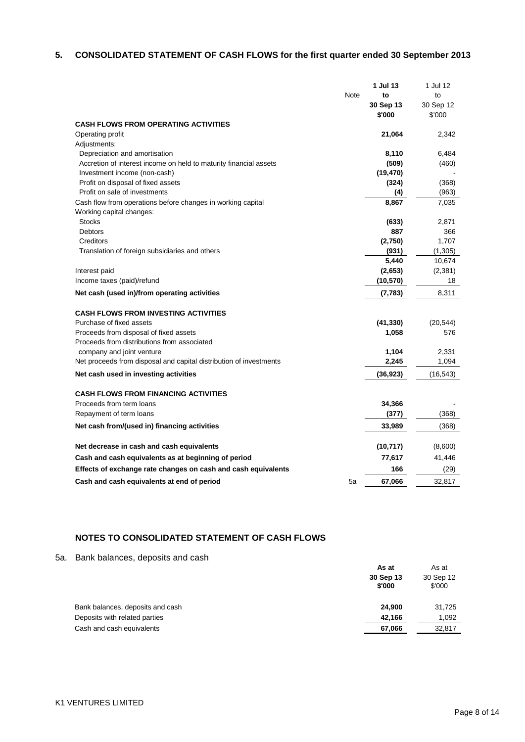# **5. CONSOLIDATED STATEMENT OF CASH FLOWS for the first quarter ended 30 September 2013**

| Note<br>to<br>to<br>30 Sep 12<br>30 Sep 13<br>\$'000<br>\$'000<br><b>CASH FLOWS FROM OPERATING ACTIVITIES</b><br>Operating profit<br>21,064<br>2,342<br>Adjustments:<br>Depreciation and amortisation<br>8,110<br>6,484<br>(509)<br>Accretion of interest income on held to maturity financial assets<br>(460)<br>(19, 470)<br>Investment income (non-cash)<br>(324)<br>Profit on disposal of fixed assets<br>(368)<br>Profit on sale of investments<br>(4)<br>(963)<br>Cash flow from operations before changes in working capital<br>8,867<br>7,035<br>Working capital changes:<br><b>Stocks</b><br>(633)<br>2,871<br><b>Debtors</b><br>887<br>366<br>1,707<br>Creditors<br>(2,750)<br>Translation of foreign subsidiaries and others<br>(931)<br>(1,305)<br>5,440<br>10,674<br>(2,653)<br>(2, 381)<br>Interest paid<br>Income taxes (paid)/refund<br>(10, 570)<br>18<br>8,311<br>Net cash (used in)/from operating activities<br>(7,783)<br><b>CASH FLOWS FROM INVESTING ACTIVITIES</b><br>Purchase of fixed assets<br>(41, 330)<br>(20, 544)<br>Proceeds from disposal of fixed assets<br>1,058<br>576<br>Proceeds from distributions from associated<br>company and joint venture<br>1,104<br>2,331<br>Net proceeds from disposal and capital distribution of investments<br>2,245<br>1,094<br>Net cash used in investing activities<br>(36, 923)<br>(16, 543)<br><b>CASH FLOWS FROM FINANCING ACTIVITIES</b><br>34,366<br>Proceeds from term loans<br>(368)<br>Repayment of term loans<br>(377)<br>Net cash from/(used in) financing activities<br>33,989<br>(368)<br>(10, 717)<br>Net decrease in cash and cash equivalents<br>(8,600)<br>Cash and cash equivalents as at beginning of period<br>77,617<br>41,446<br>Effects of exchange rate changes on cash and cash equivalents<br>166<br>(29)<br>67,066<br>32,817<br>Cash and cash equivalents at end of period<br>5a |  | 1 Jul 13 | 1 Jul 12 |
|----------------------------------------------------------------------------------------------------------------------------------------------------------------------------------------------------------------------------------------------------------------------------------------------------------------------------------------------------------------------------------------------------------------------------------------------------------------------------------------------------------------------------------------------------------------------------------------------------------------------------------------------------------------------------------------------------------------------------------------------------------------------------------------------------------------------------------------------------------------------------------------------------------------------------------------------------------------------------------------------------------------------------------------------------------------------------------------------------------------------------------------------------------------------------------------------------------------------------------------------------------------------------------------------------------------------------------------------------------------------------------------------------------------------------------------------------------------------------------------------------------------------------------------------------------------------------------------------------------------------------------------------------------------------------------------------------------------------------------------------------------------------------------------------------------------------------------------------------------------------------------|--|----------|----------|
|                                                                                                                                                                                                                                                                                                                                                                                                                                                                                                                                                                                                                                                                                                                                                                                                                                                                                                                                                                                                                                                                                                                                                                                                                                                                                                                                                                                                                                                                                                                                                                                                                                                                                                                                                                                                                                                                                  |  |          |          |
|                                                                                                                                                                                                                                                                                                                                                                                                                                                                                                                                                                                                                                                                                                                                                                                                                                                                                                                                                                                                                                                                                                                                                                                                                                                                                                                                                                                                                                                                                                                                                                                                                                                                                                                                                                                                                                                                                  |  |          |          |
|                                                                                                                                                                                                                                                                                                                                                                                                                                                                                                                                                                                                                                                                                                                                                                                                                                                                                                                                                                                                                                                                                                                                                                                                                                                                                                                                                                                                                                                                                                                                                                                                                                                                                                                                                                                                                                                                                  |  |          |          |
|                                                                                                                                                                                                                                                                                                                                                                                                                                                                                                                                                                                                                                                                                                                                                                                                                                                                                                                                                                                                                                                                                                                                                                                                                                                                                                                                                                                                                                                                                                                                                                                                                                                                                                                                                                                                                                                                                  |  |          |          |
|                                                                                                                                                                                                                                                                                                                                                                                                                                                                                                                                                                                                                                                                                                                                                                                                                                                                                                                                                                                                                                                                                                                                                                                                                                                                                                                                                                                                                                                                                                                                                                                                                                                                                                                                                                                                                                                                                  |  |          |          |
|                                                                                                                                                                                                                                                                                                                                                                                                                                                                                                                                                                                                                                                                                                                                                                                                                                                                                                                                                                                                                                                                                                                                                                                                                                                                                                                                                                                                                                                                                                                                                                                                                                                                                                                                                                                                                                                                                  |  |          |          |
|                                                                                                                                                                                                                                                                                                                                                                                                                                                                                                                                                                                                                                                                                                                                                                                                                                                                                                                                                                                                                                                                                                                                                                                                                                                                                                                                                                                                                                                                                                                                                                                                                                                                                                                                                                                                                                                                                  |  |          |          |
|                                                                                                                                                                                                                                                                                                                                                                                                                                                                                                                                                                                                                                                                                                                                                                                                                                                                                                                                                                                                                                                                                                                                                                                                                                                                                                                                                                                                                                                                                                                                                                                                                                                                                                                                                                                                                                                                                  |  |          |          |
|                                                                                                                                                                                                                                                                                                                                                                                                                                                                                                                                                                                                                                                                                                                                                                                                                                                                                                                                                                                                                                                                                                                                                                                                                                                                                                                                                                                                                                                                                                                                                                                                                                                                                                                                                                                                                                                                                  |  |          |          |
|                                                                                                                                                                                                                                                                                                                                                                                                                                                                                                                                                                                                                                                                                                                                                                                                                                                                                                                                                                                                                                                                                                                                                                                                                                                                                                                                                                                                                                                                                                                                                                                                                                                                                                                                                                                                                                                                                  |  |          |          |
|                                                                                                                                                                                                                                                                                                                                                                                                                                                                                                                                                                                                                                                                                                                                                                                                                                                                                                                                                                                                                                                                                                                                                                                                                                                                                                                                                                                                                                                                                                                                                                                                                                                                                                                                                                                                                                                                                  |  |          |          |
|                                                                                                                                                                                                                                                                                                                                                                                                                                                                                                                                                                                                                                                                                                                                                                                                                                                                                                                                                                                                                                                                                                                                                                                                                                                                                                                                                                                                                                                                                                                                                                                                                                                                                                                                                                                                                                                                                  |  |          |          |
|                                                                                                                                                                                                                                                                                                                                                                                                                                                                                                                                                                                                                                                                                                                                                                                                                                                                                                                                                                                                                                                                                                                                                                                                                                                                                                                                                                                                                                                                                                                                                                                                                                                                                                                                                                                                                                                                                  |  |          |          |
|                                                                                                                                                                                                                                                                                                                                                                                                                                                                                                                                                                                                                                                                                                                                                                                                                                                                                                                                                                                                                                                                                                                                                                                                                                                                                                                                                                                                                                                                                                                                                                                                                                                                                                                                                                                                                                                                                  |  |          |          |
|                                                                                                                                                                                                                                                                                                                                                                                                                                                                                                                                                                                                                                                                                                                                                                                                                                                                                                                                                                                                                                                                                                                                                                                                                                                                                                                                                                                                                                                                                                                                                                                                                                                                                                                                                                                                                                                                                  |  |          |          |
|                                                                                                                                                                                                                                                                                                                                                                                                                                                                                                                                                                                                                                                                                                                                                                                                                                                                                                                                                                                                                                                                                                                                                                                                                                                                                                                                                                                                                                                                                                                                                                                                                                                                                                                                                                                                                                                                                  |  |          |          |
|                                                                                                                                                                                                                                                                                                                                                                                                                                                                                                                                                                                                                                                                                                                                                                                                                                                                                                                                                                                                                                                                                                                                                                                                                                                                                                                                                                                                                                                                                                                                                                                                                                                                                                                                                                                                                                                                                  |  |          |          |
|                                                                                                                                                                                                                                                                                                                                                                                                                                                                                                                                                                                                                                                                                                                                                                                                                                                                                                                                                                                                                                                                                                                                                                                                                                                                                                                                                                                                                                                                                                                                                                                                                                                                                                                                                                                                                                                                                  |  |          |          |
|                                                                                                                                                                                                                                                                                                                                                                                                                                                                                                                                                                                                                                                                                                                                                                                                                                                                                                                                                                                                                                                                                                                                                                                                                                                                                                                                                                                                                                                                                                                                                                                                                                                                                                                                                                                                                                                                                  |  |          |          |
|                                                                                                                                                                                                                                                                                                                                                                                                                                                                                                                                                                                                                                                                                                                                                                                                                                                                                                                                                                                                                                                                                                                                                                                                                                                                                                                                                                                                                                                                                                                                                                                                                                                                                                                                                                                                                                                                                  |  |          |          |
|                                                                                                                                                                                                                                                                                                                                                                                                                                                                                                                                                                                                                                                                                                                                                                                                                                                                                                                                                                                                                                                                                                                                                                                                                                                                                                                                                                                                                                                                                                                                                                                                                                                                                                                                                                                                                                                                                  |  |          |          |
|                                                                                                                                                                                                                                                                                                                                                                                                                                                                                                                                                                                                                                                                                                                                                                                                                                                                                                                                                                                                                                                                                                                                                                                                                                                                                                                                                                                                                                                                                                                                                                                                                                                                                                                                                                                                                                                                                  |  |          |          |
|                                                                                                                                                                                                                                                                                                                                                                                                                                                                                                                                                                                                                                                                                                                                                                                                                                                                                                                                                                                                                                                                                                                                                                                                                                                                                                                                                                                                                                                                                                                                                                                                                                                                                                                                                                                                                                                                                  |  |          |          |
|                                                                                                                                                                                                                                                                                                                                                                                                                                                                                                                                                                                                                                                                                                                                                                                                                                                                                                                                                                                                                                                                                                                                                                                                                                                                                                                                                                                                                                                                                                                                                                                                                                                                                                                                                                                                                                                                                  |  |          |          |
|                                                                                                                                                                                                                                                                                                                                                                                                                                                                                                                                                                                                                                                                                                                                                                                                                                                                                                                                                                                                                                                                                                                                                                                                                                                                                                                                                                                                                                                                                                                                                                                                                                                                                                                                                                                                                                                                                  |  |          |          |
|                                                                                                                                                                                                                                                                                                                                                                                                                                                                                                                                                                                                                                                                                                                                                                                                                                                                                                                                                                                                                                                                                                                                                                                                                                                                                                                                                                                                                                                                                                                                                                                                                                                                                                                                                                                                                                                                                  |  |          |          |
|                                                                                                                                                                                                                                                                                                                                                                                                                                                                                                                                                                                                                                                                                                                                                                                                                                                                                                                                                                                                                                                                                                                                                                                                                                                                                                                                                                                                                                                                                                                                                                                                                                                                                                                                                                                                                                                                                  |  |          |          |
|                                                                                                                                                                                                                                                                                                                                                                                                                                                                                                                                                                                                                                                                                                                                                                                                                                                                                                                                                                                                                                                                                                                                                                                                                                                                                                                                                                                                                                                                                                                                                                                                                                                                                                                                                                                                                                                                                  |  |          |          |
|                                                                                                                                                                                                                                                                                                                                                                                                                                                                                                                                                                                                                                                                                                                                                                                                                                                                                                                                                                                                                                                                                                                                                                                                                                                                                                                                                                                                                                                                                                                                                                                                                                                                                                                                                                                                                                                                                  |  |          |          |
|                                                                                                                                                                                                                                                                                                                                                                                                                                                                                                                                                                                                                                                                                                                                                                                                                                                                                                                                                                                                                                                                                                                                                                                                                                                                                                                                                                                                                                                                                                                                                                                                                                                                                                                                                                                                                                                                                  |  |          |          |
|                                                                                                                                                                                                                                                                                                                                                                                                                                                                                                                                                                                                                                                                                                                                                                                                                                                                                                                                                                                                                                                                                                                                                                                                                                                                                                                                                                                                                                                                                                                                                                                                                                                                                                                                                                                                                                                                                  |  |          |          |
|                                                                                                                                                                                                                                                                                                                                                                                                                                                                                                                                                                                                                                                                                                                                                                                                                                                                                                                                                                                                                                                                                                                                                                                                                                                                                                                                                                                                                                                                                                                                                                                                                                                                                                                                                                                                                                                                                  |  |          |          |
|                                                                                                                                                                                                                                                                                                                                                                                                                                                                                                                                                                                                                                                                                                                                                                                                                                                                                                                                                                                                                                                                                                                                                                                                                                                                                                                                                                                                                                                                                                                                                                                                                                                                                                                                                                                                                                                                                  |  |          |          |
|                                                                                                                                                                                                                                                                                                                                                                                                                                                                                                                                                                                                                                                                                                                                                                                                                                                                                                                                                                                                                                                                                                                                                                                                                                                                                                                                                                                                                                                                                                                                                                                                                                                                                                                                                                                                                                                                                  |  |          |          |
|                                                                                                                                                                                                                                                                                                                                                                                                                                                                                                                                                                                                                                                                                                                                                                                                                                                                                                                                                                                                                                                                                                                                                                                                                                                                                                                                                                                                                                                                                                                                                                                                                                                                                                                                                                                                                                                                                  |  |          |          |
|                                                                                                                                                                                                                                                                                                                                                                                                                                                                                                                                                                                                                                                                                                                                                                                                                                                                                                                                                                                                                                                                                                                                                                                                                                                                                                                                                                                                                                                                                                                                                                                                                                                                                                                                                                                                                                                                                  |  |          |          |
|                                                                                                                                                                                                                                                                                                                                                                                                                                                                                                                                                                                                                                                                                                                                                                                                                                                                                                                                                                                                                                                                                                                                                                                                                                                                                                                                                                                                                                                                                                                                                                                                                                                                                                                                                                                                                                                                                  |  |          |          |
|                                                                                                                                                                                                                                                                                                                                                                                                                                                                                                                                                                                                                                                                                                                                                                                                                                                                                                                                                                                                                                                                                                                                                                                                                                                                                                                                                                                                                                                                                                                                                                                                                                                                                                                                                                                                                                                                                  |  |          |          |

# **NOTES TO CONSOLIDATED STATEMENT OF CASH FLOWS**

5a. Bank balances, deposits and cash

|                                  | As at<br>30 Sep 13<br>\$'000 | As at<br>30 Sep 12<br>\$'000 |
|----------------------------------|------------------------------|------------------------------|
| Bank balances, deposits and cash | 24.900                       | 31,725                       |
| Deposits with related parties    | 42,166                       | 1,092                        |
| Cash and cash equivalents        | 67,066                       | 32,817                       |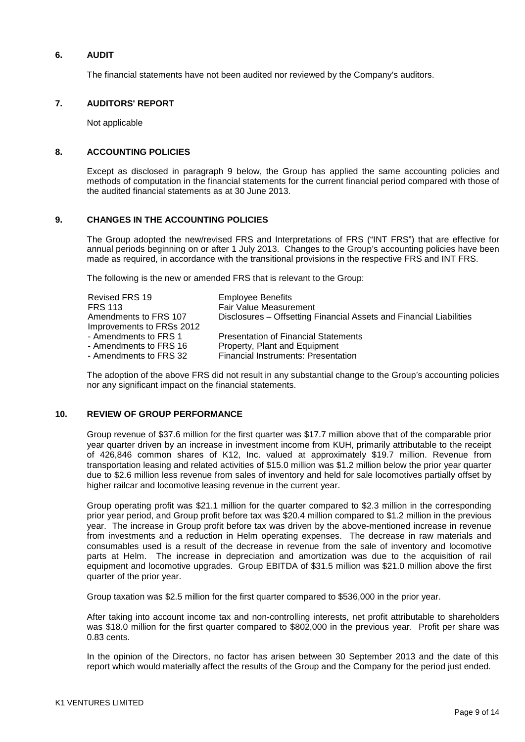## **6. AUDIT**

The financial statements have not been audited nor reviewed by the Company's auditors.

## **7. AUDITORS' REPORT**

Not applicable

## **8. ACCOUNTING POLICIES**

Except as disclosed in paragraph 9 below, the Group has applied the same accounting policies and methods of computation in the financial statements for the current financial period compared with those of the audited financial statements as at 30 June 2013.

## **9. CHANGES IN THE ACCOUNTING POLICIES**

The Group adopted the new/revised FRS and Interpretations of FRS ("INT FRS") that are effective for annual periods beginning on or after 1 July 2013. Changes to the Group's accounting policies have been made as required, in accordance with the transitional provisions in the respective FRS and INT FRS.

The following is the new or amended FRS that is relevant to the Group:

| Revised FRS 19<br><b>FRS 113</b><br>Amendments to FRS 107 | <b>Employee Benefits</b><br><b>Fair Value Measurement</b><br>Disclosures – Offsetting Financial Assets and Financial Liabilities |
|-----------------------------------------------------------|----------------------------------------------------------------------------------------------------------------------------------|
| Improvements to FRSs 2012                                 |                                                                                                                                  |
| - Amendments to FRS 1                                     | <b>Presentation of Financial Statements</b>                                                                                      |
| - Amendments to FRS 16                                    | Property, Plant and Equipment                                                                                                    |
| - Amendments to FRS 32                                    | <b>Financial Instruments: Presentation</b>                                                                                       |

The adoption of the above FRS did not result in any substantial change to the Group's accounting policies nor any significant impact on the financial statements.

## **10. REVIEW OF GROUP PERFORMANCE**

Group revenue of \$37.6 million for the first quarter was \$17.7 million above that of the comparable prior year quarter driven by an increase in investment income from KUH, primarily attributable to the receipt of 426,846 common shares of K12, Inc. valued at approximately \$19.7 million. Revenue from transportation leasing and related activities of \$15.0 million was \$1.2 million below the prior year quarter due to \$2.6 million less revenue from sales of inventory and held for sale locomotives partially offset by higher railcar and locomotive leasing revenue in the current year.

Group operating profit was \$21.1 million for the quarter compared to \$2.3 million in the corresponding prior year period, and Group profit before tax was \$20.4 million compared to \$1.2 million in the previous year. The increase in Group profit before tax was driven by the above-mentioned increase in revenue from investments and a reduction in Helm operating expenses. The decrease in raw materials and consumables used is a result of the decrease in revenue from the sale of inventory and locomotive parts at Helm. The increase in depreciation and amortization was due to the acquisition of rail equipment and locomotive upgrades. Group EBITDA of \$31.5 million was \$21.0 million above the first quarter of the prior year.

Group taxation was \$2.5 million for the first quarter compared to \$536,000 in the prior year.

After taking into account income tax and non-controlling interests, net profit attributable to shareholders was \$18.0 million for the first quarter compared to \$802,000 in the previous year. Profit per share was 0.83 cents.

In the opinion of the Directors, no factor has arisen between 30 September 2013 and the date of this report which would materially affect the results of the Group and the Company for the period just ended.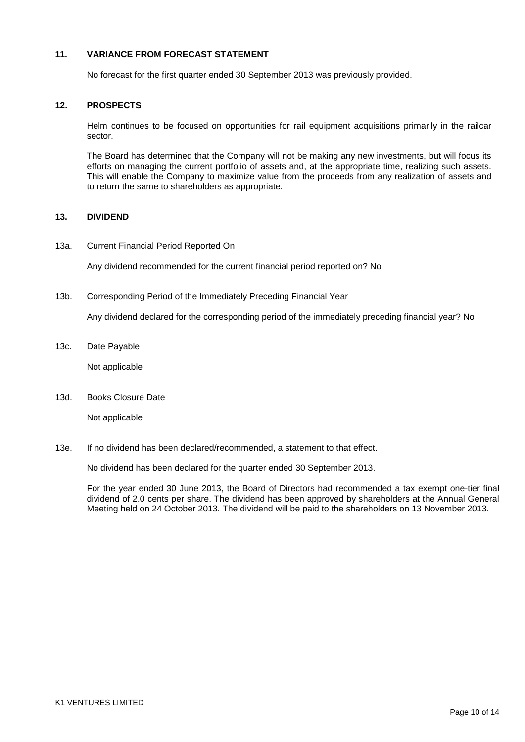## **11. VARIANCE FROM FORECAST STATEMENT**

No forecast for the first quarter ended 30 September 2013 was previously provided.

### **12. PROSPECTS**

Helm continues to be focused on opportunities for rail equipment acquisitions primarily in the railcar sector.

The Board has determined that the Company will not be making any new investments, but will focus its efforts on managing the current portfolio of assets and, at the appropriate time, realizing such assets. This will enable the Company to maximize value from the proceeds from any realization of assets and to return the same to shareholders as appropriate.

# **13. DIVIDEND**

13a. Current Financial Period Reported On

Any dividend recommended for the current financial period reported on? No

13b. Corresponding Period of the Immediately Preceding Financial Year

Any dividend declared for the corresponding period of the immediately preceding financial year? No

13c. Date Payable

Not applicable

13d. Books Closure Date

Not applicable

13e. If no dividend has been declared/recommended, a statement to that effect.

No dividend has been declared for the quarter ended 30 September 2013.

For the year ended 30 June 2013, the Board of Directors had recommended a tax exempt one-tier final dividend of 2.0 cents per share. The dividend has been approved by shareholders at the Annual General Meeting held on 24 October 2013. The dividend will be paid to the shareholders on 13 November 2013.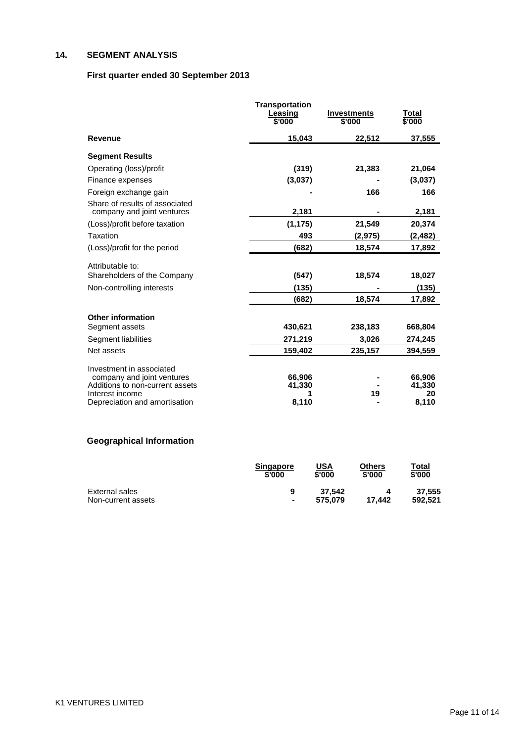# **14. SEGMENT ANALYSIS**

# **First quarter ended 30 September 2013**

|                                                  | <b>Transportation</b><br>Leasing<br>\$'000 | <b>Investments</b><br>\$'000 | Total<br>\$'000 |
|--------------------------------------------------|--------------------------------------------|------------------------------|-----------------|
| <b>Revenue</b>                                   | 15,043                                     | 22,512                       | 37,555          |
| <b>Segment Results</b>                           |                                            |                              |                 |
| Operating (loss)/profit                          | (319)                                      | 21,383                       | 21,064          |
| Finance expenses                                 | (3,037)                                    |                              | (3,037)         |
| Foreign exchange gain                            |                                            | 166                          | 166             |
| Share of results of associated                   |                                            |                              |                 |
| company and joint ventures                       | 2,181                                      |                              | 2,181           |
| (Loss)/profit before taxation                    | (1, 175)                                   | 21,549                       | 20,374          |
| Taxation                                         | 493                                        | (2, 975)                     | (2, 482)        |
| (Loss)/profit for the period                     | (682)                                      | 18,574                       | 17,892          |
| Attributable to:                                 |                                            |                              |                 |
| Shareholders of the Company                      | (547)                                      | 18,574                       | 18,027          |
| Non-controlling interests                        | (135)                                      |                              | (135)           |
|                                                  | (682)                                      | 18,574                       | 17,892          |
| <b>Other information</b>                         |                                            |                              |                 |
| Segment assets                                   | 430,621                                    | 238,183                      | 668,804         |
| Segment liabilities                              | 271,219                                    | 3,026                        | 274,245         |
| Net assets                                       | 159,402                                    | 235,157                      | 394,559         |
| Investment in associated                         |                                            |                              |                 |
| company and joint ventures                       | 66,906                                     |                              | 66,906          |
| Additions to non-current assets                  | 41,330                                     |                              | 41,330          |
| Interest income<br>Depreciation and amortisation | 8,110                                      | 19                           | 20<br>8,110     |

# **Geographical Information**

|                    | <b>Singapore</b><br>\$'000 | <u>USA</u><br>\$'000 | Others<br>\$'000 | T <u>otal</u><br>\$'000 |
|--------------------|----------------------------|----------------------|------------------|-------------------------|
| External sales     | 9                          | 37.542               |                  | 37.555                  |
| Non-current assets | $\blacksquare$             | 575.079              | 17.442           | 592.521                 |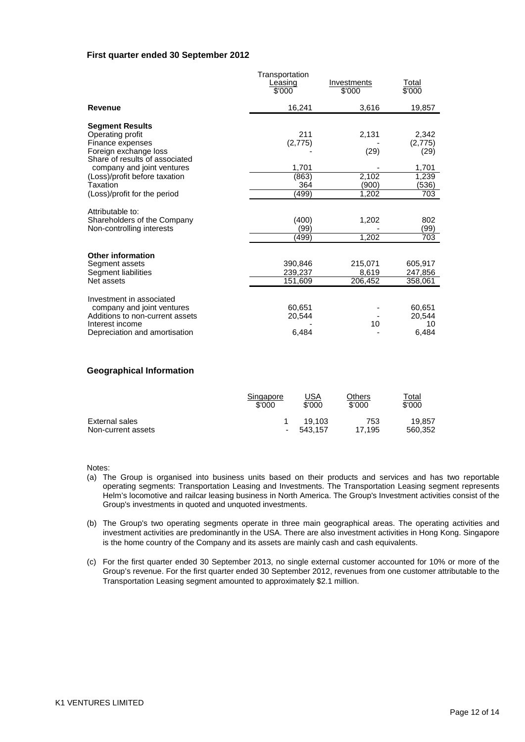### **First quarter ended 30 September 2012**

|                                                                             | Transportation<br>Leasing<br>\$'000 | Investments<br>\$'000 | <u>Total</u><br>$\sqrt{$000}$ |
|-----------------------------------------------------------------------------|-------------------------------------|-----------------------|-------------------------------|
| <b>Revenue</b>                                                              | 16,241                              | 3,616                 | 19,857                        |
| <b>Segment Results</b><br>Operating profit                                  | 211                                 | 2,131                 | 2,342                         |
| Finance expenses<br>Foreign exchange loss<br>Share of results of associated | (2, 775)                            | (29)                  | (2, 775)<br>(29)              |
| company and joint ventures                                                  | 1,701                               |                       | 1,701                         |
| (Loss)/profit before taxation<br>Taxation                                   | (863)<br>364                        | 2,102<br>(900)        | 1,239<br>(536)                |
| (Loss)/profit for the period                                                | 499)                                | 1,202                 | 703                           |
| Attributable to:                                                            |                                     |                       |                               |
| Shareholders of the Company<br>Non-controlling interests                    | (400)<br>(99)                       | 1,202                 | 802<br>(99)                   |
|                                                                             | (499)                               | 1,202                 | 703                           |
| <b>Other information</b>                                                    |                                     |                       |                               |
| Segment assets<br>Segment liabilities                                       | 390,846<br>239,237                  | 215,071<br>8,619      | 605,917<br>247,856            |
| Net assets                                                                  | 151,609                             | 206,452               | 358,061                       |
| Investment in associated                                                    |                                     |                       |                               |
| company and joint ventures                                                  | 60.651                              |                       | 60.651                        |
| Additions to non-current assets<br>Interest income                          | 20,544                              | 10                    | 20,544<br>10                  |
| Depreciation and amortisation                                               | 6,484                               |                       | 6,484                         |

### **Geographical Information**

|                    | Singapore | <u>USA</u> | Others | ™ <u>otal</u> |
|--------------------|-----------|------------|--------|---------------|
|                    | \$'000    | \$'000     | \$'000 | \$'000        |
| External sales     | ۰         | 19.103     | 753    | 19.857        |
| Non-current assets |           | 543.157    | 17.195 | 560.352       |

Notes:

- (a) The Group is organised into business units based on their products and services and has two reportable operating segments: Transportation Leasing and Investments. The Transportation Leasing segment represents Helm's locomotive and railcar leasing business in North America. The Group's Investment activities consist of the Group's investments in quoted and unquoted investments.
- (b) The Group's two operating segments operate in three main geographical areas. The operating activities and investment activities are predominantly in the USA. There are also investment activities in Hong Kong. Singapore is the home country of the Company and its assets are mainly cash and cash equivalents.
- (c) For the first quarter ended 30 September 2013, no single external customer accounted for 10% or more of the Group's revenue. For the first quarter ended 30 September 2012, revenues from one customer attributable to the Transportation Leasing segment amounted to approximately \$2.1 million.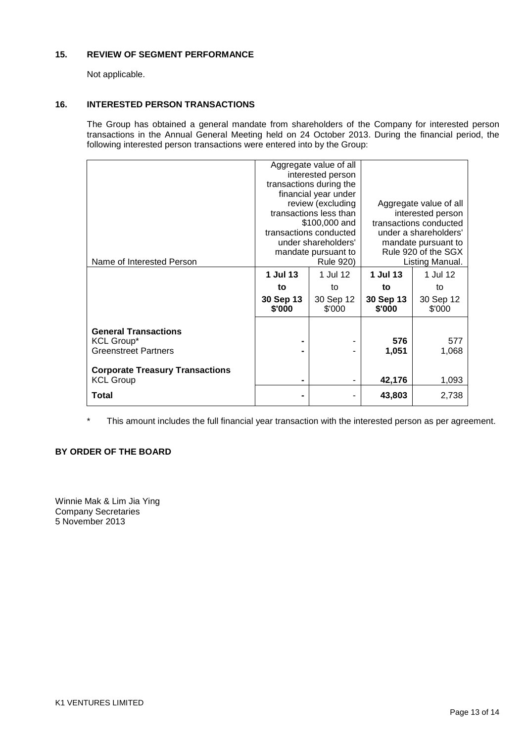# **15. REVIEW OF SEGMENT PERFORMANCE**

Not applicable.

## **16. INTERESTED PERSON TRANSACTIONS**

The Group has obtained a general mandate from shareholders of the Company for interested person transactions in the Annual General Meeting held on 24 October 2013. During the financial period, the following interested person transactions were entered into by the Group:

|                                        |                  | Aggregate value of all  |                                            |                        |  |
|----------------------------------------|------------------|-------------------------|--------------------------------------------|------------------------|--|
|                                        |                  | interested person       |                                            |                        |  |
|                                        |                  | transactions during the |                                            |                        |  |
|                                        |                  | financial year under    |                                            |                        |  |
|                                        |                  | review (excluding       |                                            | Aggregate value of all |  |
|                                        |                  | transactions less than  | interested person                          |                        |  |
|                                        |                  | \$100,000 and           | transactions conducted                     |                        |  |
|                                        |                  | transactions conducted  |                                            |                        |  |
|                                        |                  | under shareholders'     |                                            | under a shareholders'  |  |
|                                        |                  |                         | mandate pursuant to<br>Rule 920 of the SGX |                        |  |
|                                        |                  | mandate pursuant to     |                                            |                        |  |
| Name of Interested Person              | <b>Rule 920)</b> |                         |                                            | Listing Manual.        |  |
|                                        | 1 Jul 13         | 1 Jul 12                | 1 Jul 13                                   | 1 Jul 12               |  |
|                                        | to               | to                      | to                                         | to                     |  |
|                                        | 30 Sep 13        | 30 Sep 12               | 30 Sep 13                                  | 30 Sep 12              |  |
|                                        | \$'000           | \$'000                  | \$'000                                     | \$'000                 |  |
|                                        |                  |                         |                                            |                        |  |
| <b>General Transactions</b>            |                  |                         |                                            |                        |  |
|                                        |                  |                         | 576                                        | 577                    |  |
| <b>KCL Group*</b>                      |                  |                         |                                            |                        |  |
| <b>Greenstreet Partners</b>            |                  |                         | 1,051                                      | 1,068                  |  |
|                                        |                  |                         |                                            |                        |  |
| <b>Corporate Treasury Transactions</b> |                  |                         |                                            |                        |  |
| <b>KCL Group</b>                       | ۰                |                         | 42,176                                     | 1,093                  |  |
| Total                                  | ۰                |                         | 43,803                                     | 2,738                  |  |
|                                        |                  |                         |                                            |                        |  |

\* This amount includes the full financial year transaction with the interested person as per agreement.

# **BY ORDER OF THE BOARD**

Winnie Mak & Lim Jia Ying Company Secretaries 5 November 2013